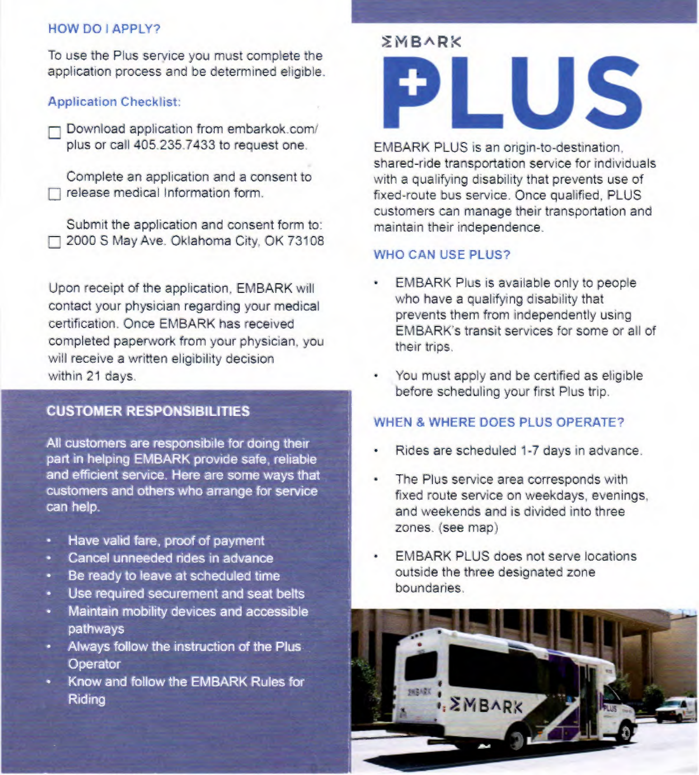### **HOW DO I APPLY?**

To use the Plus service you must complete the application process and be determined eligible.

### **Application Checklist;**

Download application from embarkok.com/ plus or call 405.235.7433 to request one.

Complete an application and a consent to release medical Information form.

Submit the application and consent form to: 2000 S May Ave. Oklahoma City, OK 73108

Upon receipt of the application. EMBARK will contact your physician regarding your medical certification. Once EMBARK has received completed paperwork from your physician. you will receive a written eligibility decision within 21 days.

# **CUSTOMER RESPONSIBILITIES**

**All customers are responsibile for doing their part in helping EMBARK provide safe, reliable and efficient service. Here are some ways that customers and others who arrange for service can help.** 

- **Have valid fare, proof of payment**
- **Cancel unneeded rides in advance**
- **Be ready to leave at scheduled time**
- **Use required securement and seat belts**
- **Maintain mobility devices and accessible pathways**
- Always follow the instruction of the Plus. **Operator**
- **Know and follow the EMBARK Rules for Riding**

# *EMBARK* **LUS**

EMBARK PLUS is an origin-to-destination. shared-ride transportation service for individuals with a qualifying disability that prevents use of fixed-route bus service. Once qualified. PLUS customers can manage their transportation and maintain their independence.

#### **WHO CAN USE PLUS?**

- **EMBARK** Plus is available only to people who have a qualifying disability that prevents them from independently using EMBARK's transit services for some or all of their trips.
- You must apply and be certified as eligible before scheduling your first Plus trip

## **WHEN & WHERE DOES PLUS OPERATE?**

- Rides are scheduled 1-7 days in advance.
- The Plus service area corresponds with fixed route service on weekdays, evenings. and weekends and is divided into three zones. (see map)
- EMBARK PLUS does not serve locations outside the three designated zone boundaries.